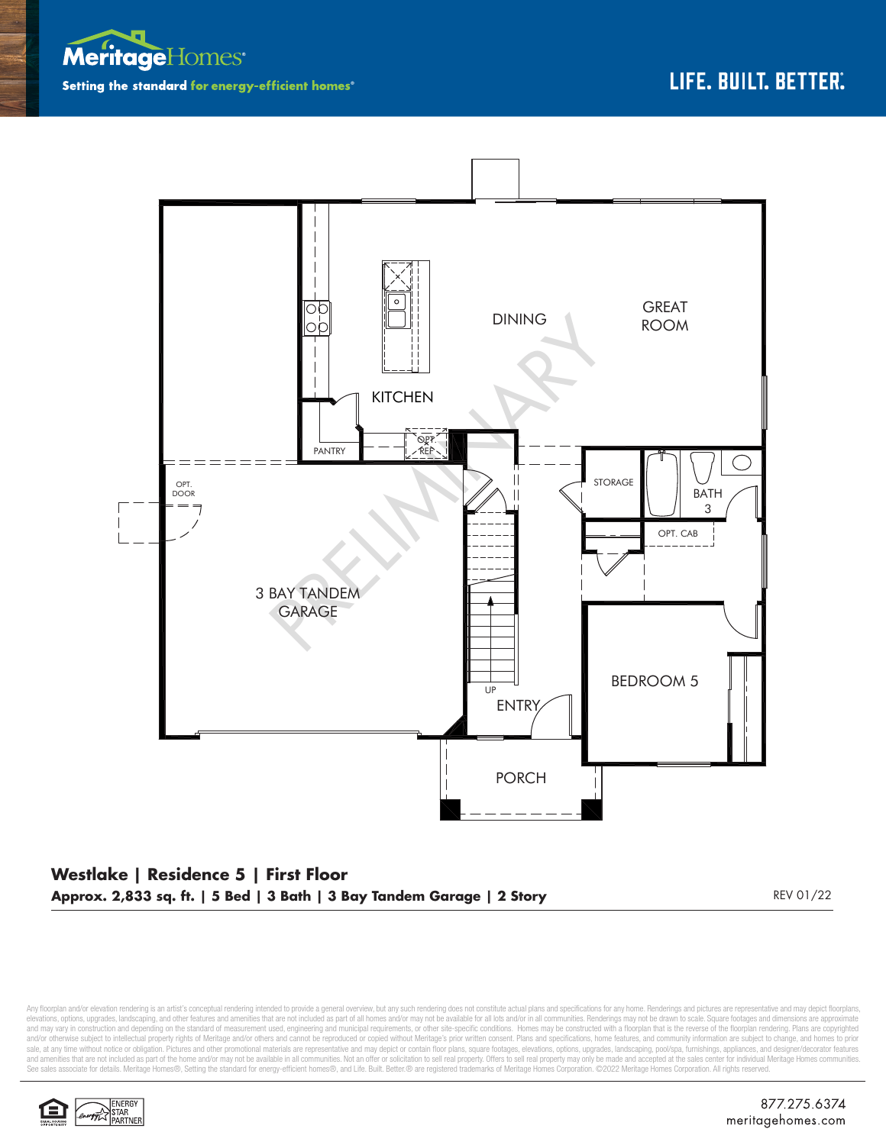



## **Westlake | Residence 5 | First Floor** Approx. 2,833 sq. ft. | 5 Bed | 3 Bath | 3 Bay Tandem Garage | 2 Story REV 01/22

Any floorolan and/or elevation rendering is an artist's conceptual rendering intended to provide a general overview, but any such rendering does not constitute actual plans and specifications for any home. Renderings and p elevations, options, upgrades, landscaping, and other features and amenities that are not included as part of all homes and/or may not be available for all lots and/or in all communities. Renderings may not be drawn to sca and may vary in construction and depending on the standard of measurement used, engineering and municipal requirements, or other site-specific conditions. Homes may be constructed with a floorplan that is the reverse of th sale, at any time without notice or obligation. Pictures and other promotional materials are representative and may depict or contain floor plans, square footages, elevations, options, upgrades, landscaping, pool/spa, furn and amenities that are not included as part of the home and/or may not be available in all communities. Not an offer or solicitation to sell real property. Offers to sell real property may only be made and accepted at the